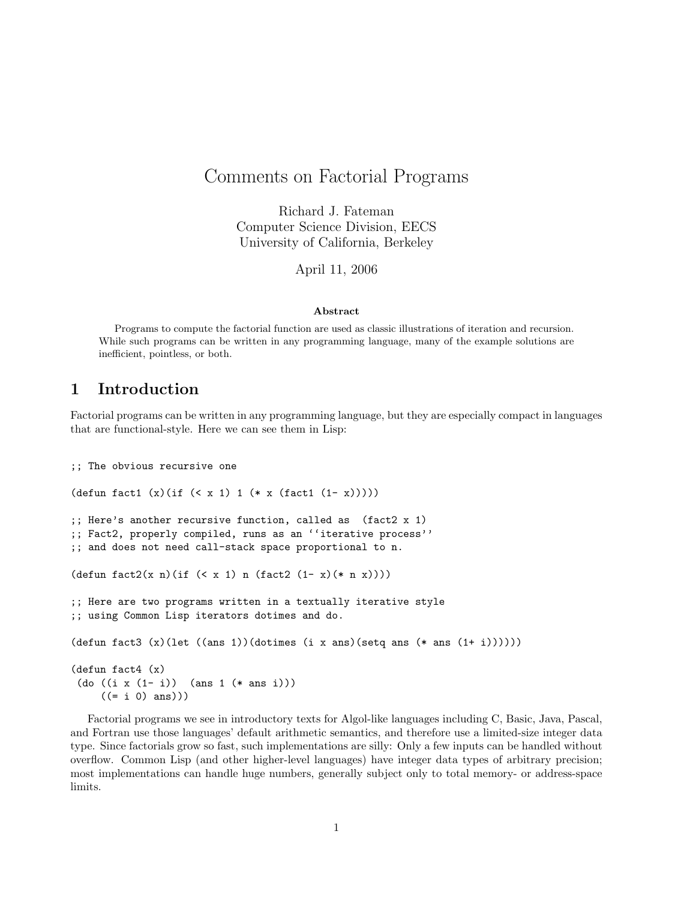# Comments on Factorial Programs

Richard J. Fateman Computer Science Division, EECS University of California, Berkeley

April 11, 2006

#### Abstract

Programs to compute the factorial function are used as classic illustrations of iteration and recursion. While such programs can be written in any programming language, many of the example solutions are inefficient, pointless, or both.

# 1 Introduction

Factorial programs can be written in any programming language, but they are especially compact in languages that are functional-style. Here we can see them in Lisp:

```
;; The obvious recursive one
(\text{defun fact1 } (x)(\text{if } (< x 1) 1 (* x (fact1 (1-x))));; Here's another recursive function, called as (fact2 x 1)
;; Fact2, properly compiled, runs as an ''iterative process''
;; and does not need call-stack space proportional to n.
(defun fact2(x n)(if (< x 1) n (fact2 (1 - x)(* n x)))
;; Here are two programs written in a textually iterative style
;; using Common Lisp iterators dotimes and do.
(defun fact3 (x)(let ((ans 1))(dotimes (i x ans)(setq ans (* ans (1+i))))))(defun fact4 (x)
 (do ((i x (1- i)) (ans 1 (* ans i)))
     ((= i 0) ans)))
```
Factorial programs we see in introductory texts for Algol-like languages including C, Basic, Java, Pascal, and Fortran use those languages' default arithmetic semantics, and therefore use a limited-size integer data type. Since factorials grow so fast, such implementations are silly: Only a few inputs can be handled without overflow. Common Lisp (and other higher-level languages) have integer data types of arbitrary precision; most implementations can handle huge numbers, generally subject only to total memory- or address-space limits.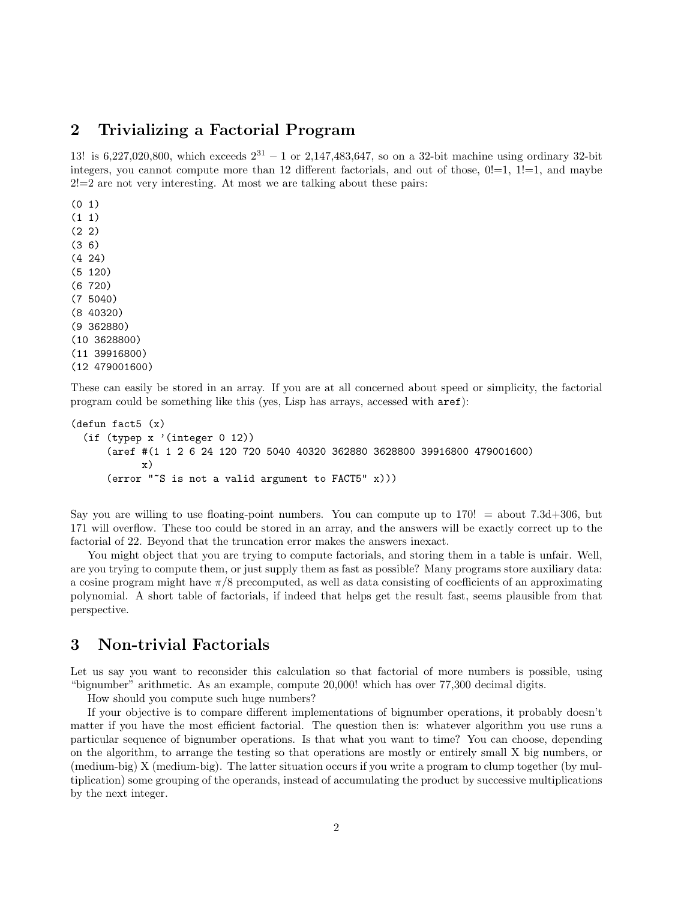# 2 Trivializing a Factorial Program

13! is 6,227,020,800, which exceeds  $2^{31} - 1$  or 2,147,483,647, so on a 32-bit machine using ordinary 32-bit integers, you cannot compute more than 12 different factorials, and out of those,  $0!=1, 1!=1$ , and maybe  $2!=2$  are not very interesting. At most we are talking about these pairs:

(0 1) (1 1) (2 2) (3 6) (4 24) (5 120) (6 720) (7 5040) (8 40320) (9 362880) (10 3628800) (11 39916800) (12 479001600)

These can easily be stored in an array. If you are at all concerned about speed or simplicity, the factorial program could be something like this (yes, Lisp has arrays, accessed with aref):

```
(defun fact5 (x)
 (if (typep x '(integer 0 12))
      (aref #(1 1 2 6 24 120 720 5040 40320 362880 3628800 39916800 479001600)
            x)
      (error "~S is not a valid argument to FACT5" x)))
```
Say you are willing to use floating-point numbers. You can compute up to 170! = about 7.3d+306, but 171 will overflow. These too could be stored in an array, and the answers will be exactly correct up to the factorial of 22. Beyond that the truncation error makes the answers inexact.

You might object that you are trying to compute factorials, and storing them in a table is unfair. Well, are you trying to compute them, or just supply them as fast as possible? Many programs store auxiliary data: a cosine program might have  $\pi/8$  precomputed, as well as data consisting of coefficients of an approximating polynomial. A short table of factorials, if indeed that helps get the result fast, seems plausible from that perspective.

# 3 Non-trivial Factorials

Let us say you want to reconsider this calculation so that factorial of more numbers is possible, using "bignumber" arithmetic. As an example, compute 20,000! which has over 77,300 decimal digits.

How should you compute such huge numbers?

If your objective is to compare different implementations of bignumber operations, it probably doesn't matter if you have the most efficient factorial. The question then is: whatever algorithm you use runs a particular sequence of bignumber operations. Is that what you want to time? You can choose, depending on the algorithm, to arrange the testing so that operations are mostly or entirely small X big numbers, or (medium-big) X (medium-big). The latter situation occurs if you write a program to clump together (by multiplication) some grouping of the operands, instead of accumulating the product by successive multiplications by the next integer.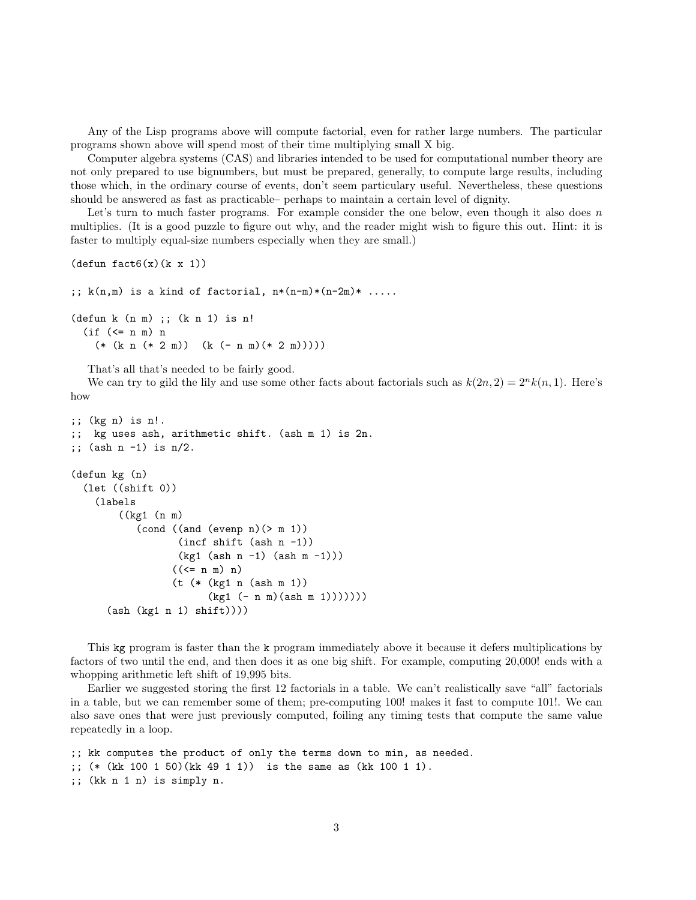Any of the Lisp programs above will compute factorial, even for rather large numbers. The particular programs shown above will spend most of their time multiplying small X big.

Computer algebra systems (CAS) and libraries intended to be used for computational number theory are not only prepared to use bignumbers, but must be prepared, generally, to compute large results, including those which, in the ordinary course of events, don't seem particulary useful. Nevertheless, these questions should be answered as fast as practicable– perhaps to maintain a certain level of dignity.

Let's turn to much faster programs. For example consider the one below, even though it also does  $n$ multiplies. (It is a good puzzle to figure out why, and the reader might wish to figure this out. Hint: it is faster to multiply equal-size numbers especially when they are small.)

```
(\text{defun fact}6(x)(k x 1))
```

```
;; k(n,m) is a kind of factorial, n*(n-m)*(n-2m)*.......
(defun k (n m) ;; (k n 1) is n!
 (if (<= n m) n(* (k n (* 2 m)) (k (- n m) (* 2 m))))
```
That's all that's needed to be fairly good.

We can try to gild the lily and use some other facts about factorials such as  $k(2n, 2) = 2<sup>n</sup> k(n, 1)$ . Here's how

```
;; (kg n) is n!.
;; kg uses ash, arithmetic shift. (ash m 1) is 2n.
;; (ash n -1) is n/2.
(defun kg (n)
  (let ((shift 0))
    (labels
        ((kg1 (n m)
           (cond ((and (evenp n)(> m 1))
                  (incf shift (ash n -1))
                  (kg1 (ash n -1) (ash m -1)))
                 ((\leq n \le n) n)(t (* (kg1 n (ash m 1))
                        (kg1 (-n m)(ash m 1))))))(ash (kg1 n 1) shift))))
```
This kg program is faster than the k program immediately above it because it defers multiplications by factors of two until the end, and then does it as one big shift. For example, computing 20,000! ends with a whopping arithmetic left shift of 19,995 bits.

Earlier we suggested storing the first 12 factorials in a table. We can't realistically save "all" factorials in a table, but we can remember some of them; pre-computing 100! makes it fast to compute 101!. We can also save ones that were just previously computed, foiling any timing tests that compute the same value repeatedly in a loop.

```
;; kk computes the product of only the terms down to min, as needed.
;; (* (kk 100 1 50)(kk 49 1 1)) is the same as (kk 100 1 1).
;; (kk n 1 n) is simply n.
```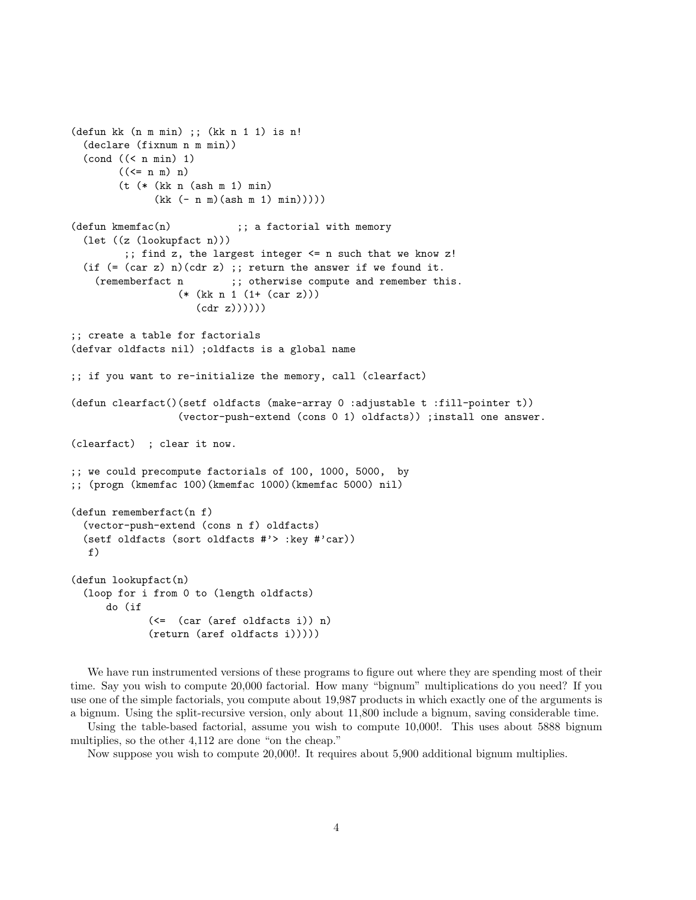```
(defun kk (n m min) ;; (kk n 1 1) is n!
  (declare (fixnum n m min))
  \text{(cond } ((\text{ s n min}) 1)((\leq n \le n) n)(t (* (kk n (ash m 1) min)
              (kk (- n m)(ash m 1) min))))(defun kmemfac(n) ;; a factorial with memory
  (let ((z (lookupfact n)))
         ;; find z, the largest integer <= n such that we know z!
 (if (=(car z) n)(cdr z); return the answer if we found it.
    (rememberfact n ;; otherwise compute and remember this.
                  (* (kk n 1 (1+ (car z)))
                     (cdr z))))))
;; create a table for factorials
(defvar oldfacts nil) ;oldfacts is a global name
;; if you want to re-initialize the memory, call (clearfact)
(defun clearfact()(setf oldfacts (make-array 0 :adjustable t :fill-pointer t))
                  (vector-push-extend (cons 0 1) oldfacts)) ;install one answer.
(clearfact) ; clear it now.
;; we could precompute factorials of 100, 1000, 5000, by
;; (progn (kmemfac 100)(kmemfac 1000)(kmemfac 5000) nil)
(defun rememberfact(n f)
  (vector-push-extend (cons n f) oldfacts)
  (setf oldfacts (sort oldfacts #'> :key #'car))
  f)
(defun lookupfact(n)
  (loop for i from 0 to (length oldfacts)
      do (if
             (<= (car (aref oldfacts i)) n)
             (return (aref oldfacts i)))))
```
We have run instrumented versions of these programs to figure out where they are spending most of their time. Say you wish to compute 20,000 factorial. How many "bignum" multiplications do you need? If you use one of the simple factorials, you compute about 19,987 products in which exactly one of the arguments is a bignum. Using the split-recursive version, only about 11,800 include a bignum, saving considerable time.

Using the table-based factorial, assume you wish to compute 10,000!. This uses about 5888 bignum multiplies, so the other 4,112 are done "on the cheap."

Now suppose you wish to compute 20,000!. It requires about 5,900 additional bignum multiplies.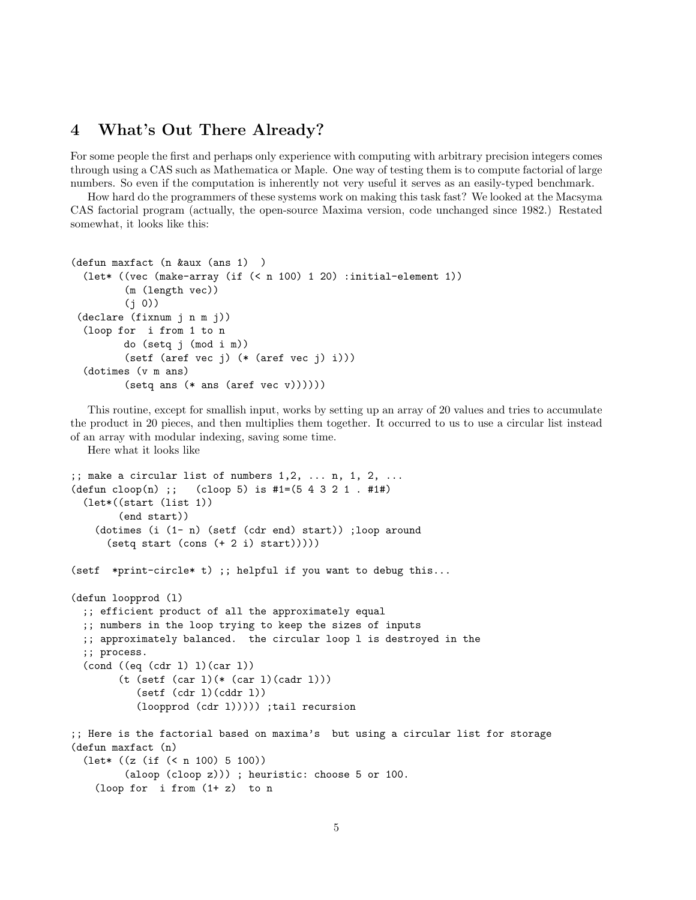### 4 What's Out There Already?

For some people the first and perhaps only experience with computing with arbitrary precision integers comes through using a CAS such as Mathematica or Maple. One way of testing them is to compute factorial of large numbers. So even if the computation is inherently not very useful it serves as an easily-typed benchmark.

How hard do the programmers of these systems work on making this task fast? We looked at the Macsyma CAS factorial program (actually, the open-source Maxima version, code unchanged since 1982.) Restated somewhat, it looks like this:

```
(defun maxfact (n &aux (ans 1) )
  (let* ((vec (make-array (if (< n 100) 1 20) :initial-element 1))
         (m (length vec))
         (i 0)(declare (fixnum j n m j))
  (loop for i from 1 to n
         do (setq j (mod i m))
         (setf (aref vec j) (* (aref vec j) i)))
  (dotimes (v m ans)
         (\text{setq ans } (* \text{ ans } (\text{aref vec } v))))))
```
This routine, except for smallish input, works by setting up an array of 20 values and tries to accumulate the product in 20 pieces, and then multiplies them together. It occurred to us to use a circular list instead of an array with modular indexing, saving some time.

Here what it looks like

```
;; make a circular list of numbers 1, 2, \ldots n, 1, 2, \ldots(\text{defun cloop}(n) ;; (cloop 5) is #1=(5 4 3 2 1 . #1#)(let*((start (list 1))
        (end start))
   (dotimes (i (1- n) (setf (cdr end) start)) ;loop around
      (setq start (cons (+ 2 i) start)))(setf *print-circle* t) ;; helpful if you want to debug this...
(defun loopprod (l)
 ;; efficient product of all the approximately equal
 ;; numbers in the loop trying to keep the sizes of inputs
 ;; approximately balanced. the circular loop l is destroyed in the
 ;; process.
 (cond ((eq (cdr 1) 1)(car 1))(t (setf (car l)(* (car l)(cadr l)))
           (set (cdr 1)(cddr 1))(loopprod (cdr l))))) ;tail recursion
;; Here is the factorial based on maxima's but using a circular list for storage
(defun maxfact (n)
 (let* ((z (if (< n 100) 5 100))
         (aloop (cloop z))) ; heuristic: choose 5 or 100.
   (loop for i from (1+ z) to n
```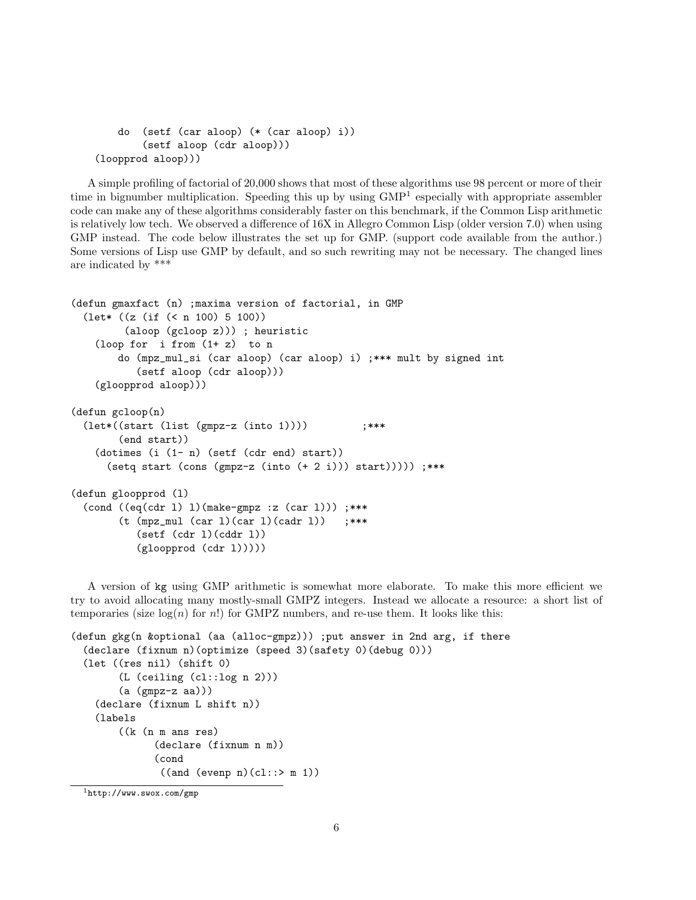```
do (setf (car aloop) (* (car aloop) i))
        (setf aloop (cdr aloop)))
(loopprod aloop)))
```
A simple profiling of factorial of 20,000 shows that most of these algorithms use 98 percent or more of their time in bignumber multiplication. Speeding this up by using GMP<sup>1</sup> especially with appropriate assembler code can make any of these algorithms considerably faster on this benchmark, if the Common Lisp arithmetic is relatively low tech. We observed a difference of 16X in Allegro Common Lisp (older version 7.0) when using GMP instead. The code below illustrates the set up for GMP. (support code available from the author.) Some versions of Lisp use GMP by default, and so such rewriting may not be necessary. The changed lines are indicated by \*\*\*

```
(defun gmaxfact (n) ;maxima version of factorial, in GMP
 (let* ((z (if (< n 100) 5 100))
         (aloop (gcloop z))) ; heuristic
    (loop for i from (1+ z) to n
        do (mpz_mul_si (car aloop) (car aloop) i) ;*** mult by signed int
           (setf aloop (cdr aloop)))
    (gloopprod aloop)))
(defun gcloop(n)
 (\text{let}*((\text{start}(list (gmpz-z (into 1)))) ;***
        (end start))
    (dotimes (i (1- n) (setf (cdr end) start))
      (setq start (cons (gmpz-z (into (+ 2 i))) start))))) ;***
(defun gloopprod (l)
  (cond ((eq(cdr 1) 1)(make-<math>gmpz :z (car 1)))</math> ;***(t \text{ (mpz_mull (car 1)(car 1)(cadr 1))};***(sett (cdr 1)(cddr 1))(gloopprod (cdr l)))))
```
A version of kg using GMP arithmetic is somewhat more elaborate. To make this more efficient we try to avoid allocating many mostly-small GMPZ integers. Instead we allocate a resource: a short list of temporaries (size  $log(n)$  for n!) for GMPZ numbers, and re-use them. It looks like this:

```
(defun gkg(n &optional (aa (alloc-gmpz))) ;put answer in 2nd arg, if there
 (declare (fixnum n)(optimize (speed 3)(safety 0)(debug 0)))
  (let ((res nil) (shift 0)
        (L (ceiling (cl::log n 2)))
        (a (gmpz-z aa)))
   (declare (fixnum L shift n))
   (labels
        ((k (n m ans res)
              (declare (fixnum n m))
              (cond
               ((and (evenp n)(cl::> m 1))
```

```
1http://www.swox.com/gmp
```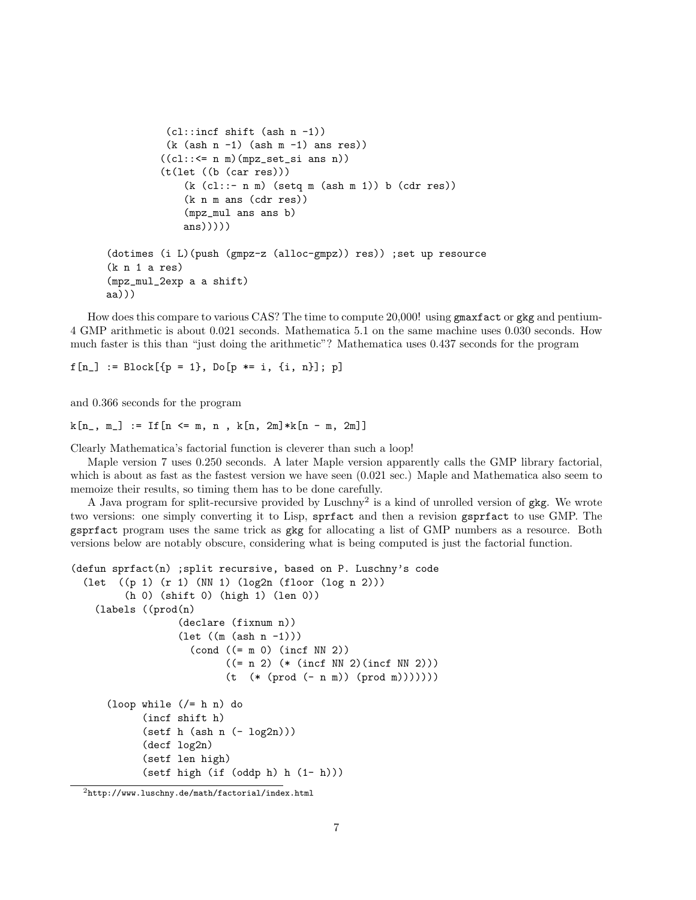```
(cl::incf shift (ash n -1))(k (ash n -1) (ash m -1) ans res))((c1::<= n m)(mpz_set_size in n))(t(let ((b (car res)))
             (k (cl::- n m) (setq m (ash m 1)) b (cdr res))(k n m ans (cdr res))
             (mpz_mul ans ans b)
             ans)))))
(dotimes (i L)(push (gmpz-z (alloc-gmpz)) res)) ;set up resource
(k n 1 a res)
(mpz_mul_2exp a a shift)
aa)))
```
How does this compare to various CAS? The time to compute 20,000! using gmaxfact or gkg and pentium-4 GMP arithmetic is about 0.021 seconds. Mathematica 5.1 on the same machine uses 0.030 seconds. How much faster is this than "just doing the arithmetic"? Mathematica uses 0.437 seconds for the program

```
f[n_] := Block[\{p = 1\}, Do[p == i, \{i, n\}]; p]
```
and 0.366 seconds for the program

```
k[n_-, m_+] := If [n \le m, n, k[n, 2m]*k[n - m, 2m]
```
Clearly Mathematica's factorial function is cleverer than such a loop!

Maple version 7 uses 0.250 seconds. A later Maple version apparently calls the GMP library factorial, which is about as fast as the fastest version we have seen  $(0.021 \text{ sec.})$  Maple and Mathematica also seem to memoize their results, so timing them has to be done carefully.

A Java program for split-recursive provided by Luschny<sup>2</sup> is a kind of unrolled version of gkg. We wrote two versions: one simply converting it to Lisp, sprfact and then a revision gsprfact to use GMP. The gsprfact program uses the same trick as gkg for allocating a list of GMP numbers as a resource. Both versions below are notably obscure, considering what is being computed is just the factorial function.

```
(defun sprfact(n) ;split recursive, based on P. Luschny's code
 (let ((p 1) (r 1) (NN 1) (log2n (floor (log n 2)))
         (h 0) (shift 0) (high 1) (len 0))
   (labels ((prod(n)
                  (declare (fixnum n))
                  (let ((m (ash n -1)))
                    (cond ((= m 0) (incf NN 2))
                          ((= n 2) (* (incf NN 2)(incf NN 2)))(t (* (prod (- n m)) (prod m)))))))
      (loop while (/= h n) do
            (incf shift h)
            (sett h (ash n (- log2n)))(decf log2n)
            (setf len high)
            (setf high (if (oddp h) h (1- h)))
```
 $^{2}$ http://www.luschny.de/math/factorial/index.html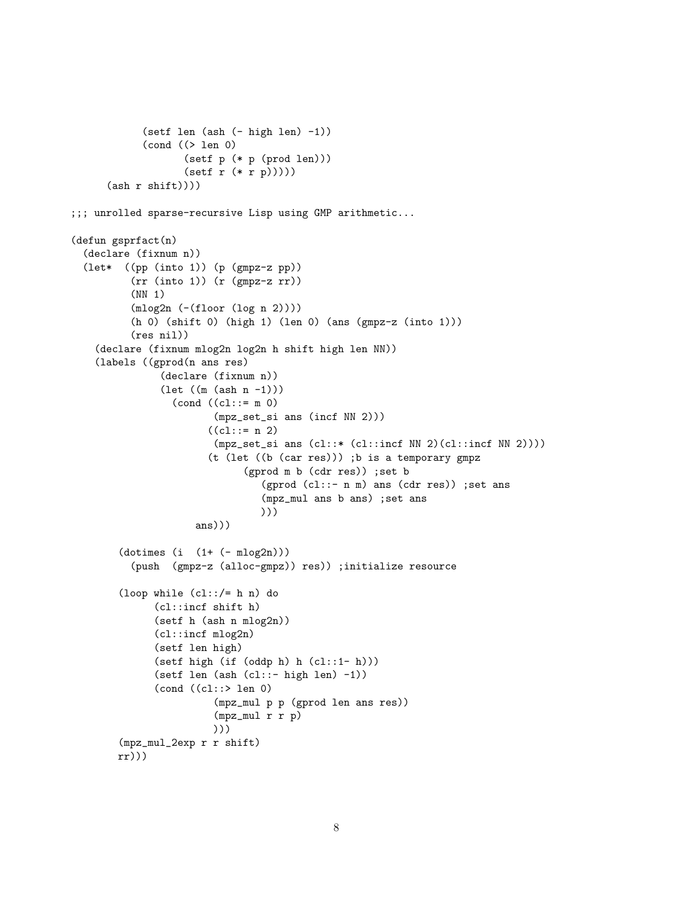```
(setf len (ash (- high len) -1))
            (cond ((> len 0)
                   (setf p (* p (prod len)))
                   (sett r (* r p))))(\text{ash } r \text{ shift})));;; unrolled sparse-recursive Lisp using GMP arithmetic...
(defun gsprfact(n)
  (declare (fixnum n))
  (let* ((pp (into 1)) (p (gmpz-z pp))
          (rr (into 1)) (r (gmpz-z rr))
          (NN 1)
          (mlog2n (-(floor (log n 2))))
          (h 0) (shift 0) (high 1) (len 0) (ans (gmpz-z (into 1)))
          (res nil))
    (declare (fixnum mlog2n log2n h shift high len NN))
    (labels ((gprod(n ans res)
               (declare (fixnum n))
               (\text{let } ((m (ash n -1)))(cond ((cl::= m 0)
                        (mpz_set_si ans (incf NN 2)))
                       ((c1::= n 2))(mpz_set_si ans (cl::*(cl::incf NN 2)(cl::incf NN 2))))(t (let ((b (car res))) ;b is a temporary gmpz
                              (gprod m b (cdr res)) ;set b
                                 (gprod (cl::- n m) ans (cdr res)) ;set ans
                                 (mpz_mul ans b ans) ;set ans
                                 )))
                     ans)))
        (dotimes (i (1+ (- mlog2n)))
          (push (gmpz-z (alloc-gmpz)) res)) ;initialize resource
        (loop while (cl::/= h n) do
              (cl::incf shift h)
              (setf h (ash n mlog2n))
              (cl::incf mlog2n)
              (setf len high)
              (setf high (if (oddp h) h (cl::1- h)))
              (setf len (ash (cl::- high len) -1))
              (cond ((cl::> len 0)
                        (mpz_mul p p (gprod len ans res))
                        (mpz_mul r r p)
                        )))
        (mpz_mul_2exp r r shift)
        rr)))
```